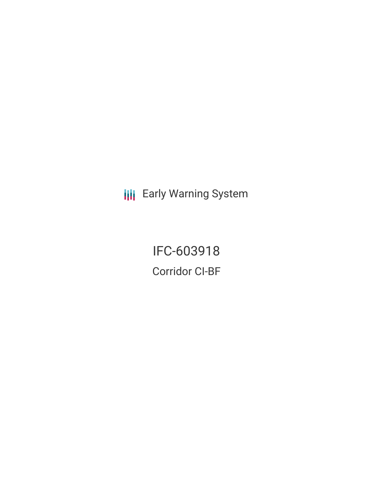**III** Early Warning System

IFC-603918 Corridor CI-BF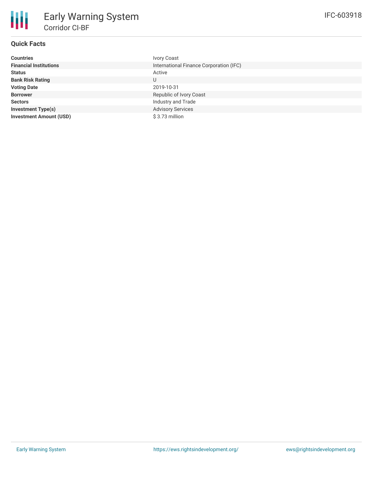# **Quick Facts**

| <b>Countries</b>               | <b>Ivory Coast</b>                      |
|--------------------------------|-----------------------------------------|
| <b>Financial Institutions</b>  | International Finance Corporation (IFC) |
| <b>Status</b>                  | Active                                  |
| <b>Bank Risk Rating</b>        | U                                       |
| <b>Voting Date</b>             | 2019-10-31                              |
| <b>Borrower</b>                | Republic of Ivory Coast                 |
| <b>Sectors</b>                 | Industry and Trade                      |
| <b>Investment Type(s)</b>      | <b>Advisory Services</b>                |
| <b>Investment Amount (USD)</b> | \$3.73 million                          |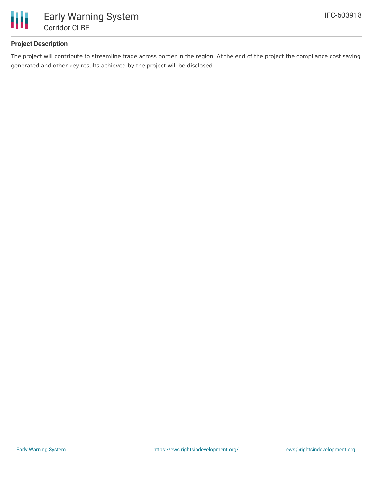

### **Project Description**

The project will contribute to streamline trade across border in the region. At the end of the project the compliance cost saving generated and other key results achieved by the project will be disclosed.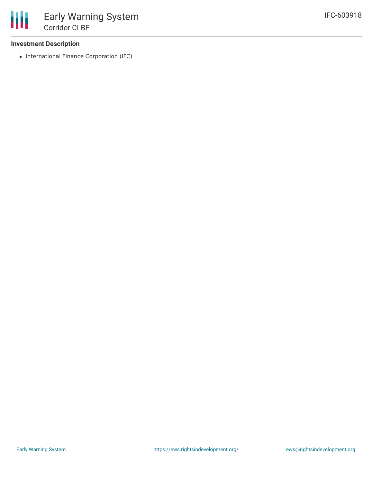#### **Investment Description**

• International Finance Corporation (IFC)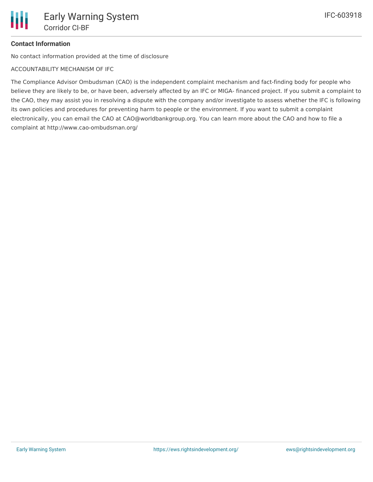# **Contact Information**

No contact information provided at the time of disclosure

ACCOUNTABILITY MECHANISM OF IFC

The Compliance Advisor Ombudsman (CAO) is the independent complaint mechanism and fact-finding body for people who believe they are likely to be, or have been, adversely affected by an IFC or MIGA- financed project. If you submit a complaint to the CAO, they may assist you in resolving a dispute with the company and/or investigate to assess whether the IFC is following its own policies and procedures for preventing harm to people or the environment. If you want to submit a complaint electronically, you can email the CAO at CAO@worldbankgroup.org. You can learn more about the CAO and how to file a complaint at http://www.cao-ombudsman.org/